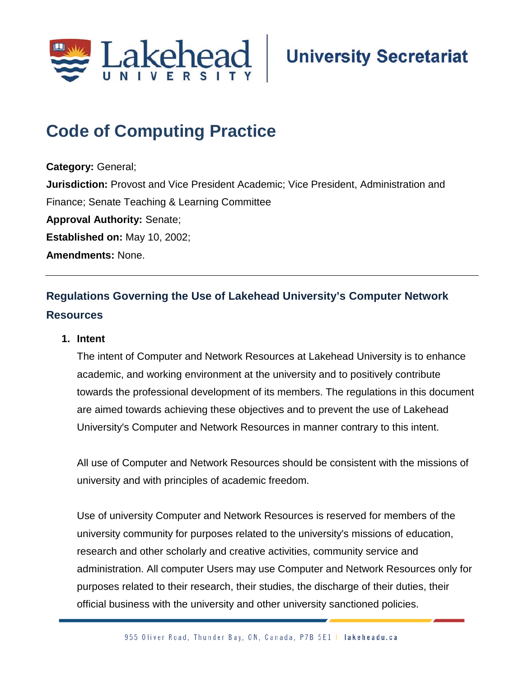

# **Code of Computing Practice**

**Category:** General; **Jurisdiction:** Provost and Vice President Academic; Vice President, Administration and Finance; Senate Teaching & Learning Committee **Approval Authority:** Senate; **Established on:** May 10, 2002; **Amendments:** None.

# **Regulations Governing the Use of Lakehead University's Computer Network Resources**

#### **1. Intent**

The intent of Computer and Network Resources at Lakehead University is to enhance academic, and working environment at the university and to positively contribute towards the professional development of its members. The regulations in this document are aimed towards achieving these objectives and to prevent the use of Lakehead University's Computer and Network Resources in manner contrary to this intent.

All use of Computer and Network Resources should be consistent with the missions of university and with principles of academic freedom.

Use of university Computer and Network Resources is reserved for members of the university community for purposes related to the university's missions of education, research and other scholarly and creative activities, community service and administration. All computer Users may use Computer and Network Resources only for purposes related to their research, their studies, the discharge of their duties, their official business with the university and other university sanctioned policies.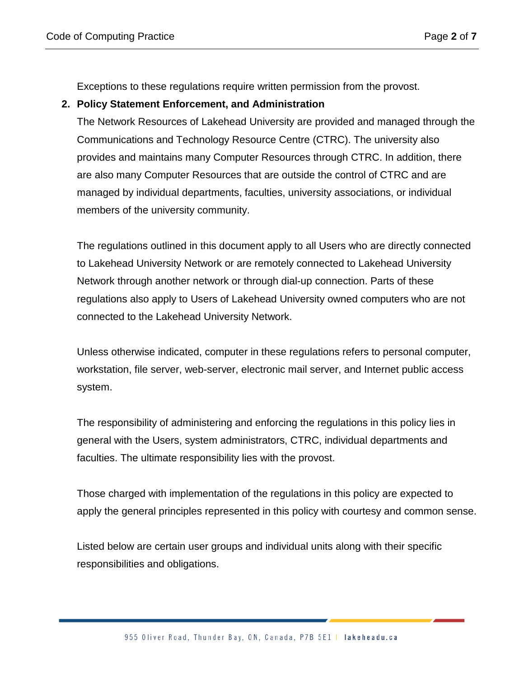Exceptions to these regulations require written permission from the provost.

#### **2. Policy Statement Enforcement, and Administration**

The Network Resources of Lakehead University are provided and managed through the Communications and Technology Resource Centre (CTRC). The university also provides and maintains many Computer Resources through CTRC. In addition, there are also many Computer Resources that are outside the control of CTRC and are managed by individual departments, faculties, university associations, or individual members of the university community.

The regulations outlined in this document apply to all Users who are directly connected to Lakehead University Network or are remotely connected to Lakehead University Network through another network or through dial-up connection. Parts of these regulations also apply to Users of Lakehead University owned computers who are not connected to the Lakehead University Network.

Unless otherwise indicated, computer in these regulations refers to personal computer, workstation, file server, web-server, electronic mail server, and Internet public access system.

The responsibility of administering and enforcing the regulations in this policy lies in general with the Users, system administrators, CTRC, individual departments and faculties. The ultimate responsibility lies with the provost.

Those charged with implementation of the regulations in this policy are expected to apply the general principles represented in this policy with courtesy and common sense.

Listed below are certain user groups and individual units along with their specific responsibilities and obligations.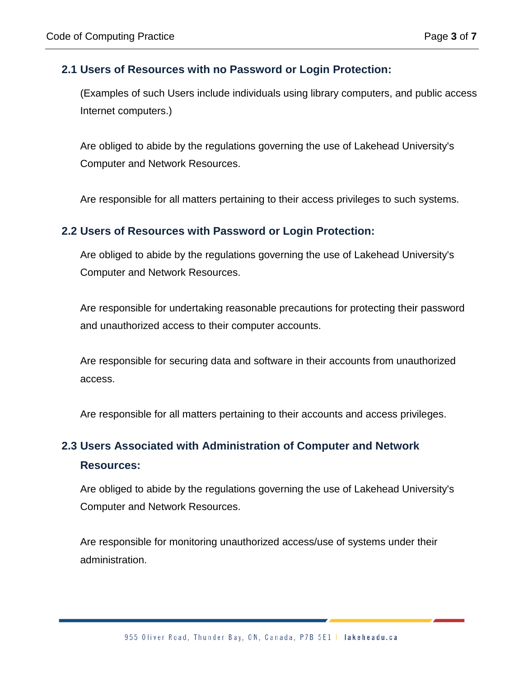#### **2.1 Users of Resources with no Password or Login Protection:**

(Examples of such Users include individuals using library computers, and public access Internet computers.)

Are obliged to abide by the regulations governing the use of Lakehead University's Computer and Network Resources.

Are responsible for all matters pertaining to their access privileges to such systems.

#### **2.2 Users of Resources with Password or Login Protection:**

Are obliged to abide by the regulations governing the use of Lakehead University's Computer and Network Resources.

Are responsible for undertaking reasonable precautions for protecting their password and unauthorized access to their computer accounts.

Are responsible for securing data and software in their accounts from unauthorized access.

Are responsible for all matters pertaining to their accounts and access privileges.

## **2.3 Users Associated with Administration of Computer and Network Resources:**

Are obliged to abide by the regulations governing the use of Lakehead University's Computer and Network Resources.

Are responsible for monitoring unauthorized access/use of systems under their administration.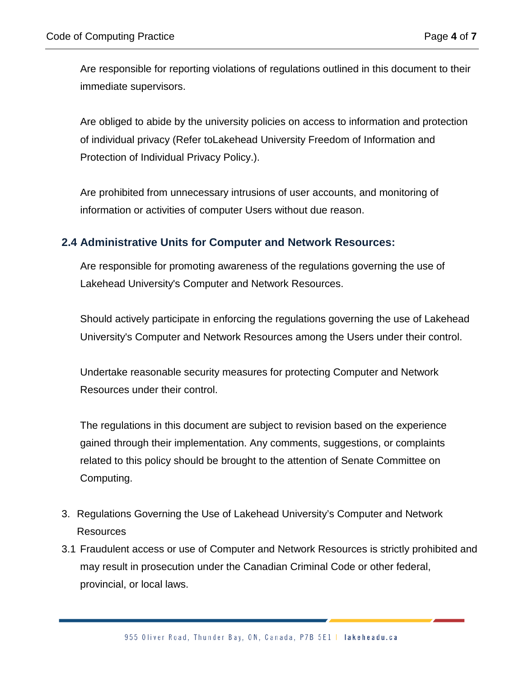Are responsible for reporting violations of regulations outlined in this document to their immediate supervisors.

Are obliged to abide by the university policies on access to information and protection of individual privacy (Refer toLakehead University Freedom of Information and Protection of Individual Privacy Policy.).

Are prohibited from unnecessary intrusions of user accounts, and monitoring of information or activities of computer Users without due reason.

### **2.4 Administrative Units for Computer and Network Resources:**

Are responsible for promoting awareness of the regulations governing the use of Lakehead University's Computer and Network Resources.

Should actively participate in enforcing the regulations governing the use of Lakehead University's Computer and Network Resources among the Users under their control.

Undertake reasonable security measures for protecting Computer and Network Resources under their control.

The regulations in this document are subject to revision based on the experience gained through their implementation. Any comments, suggestions, or complaints related to this policy should be brought to the attention of Senate Committee on Computing.

- 3. Regulations Governing the Use of Lakehead University's Computer and Network **Resources**
- 3.1 Fraudulent access or use of Computer and Network Resources is strictly prohibited and may result in prosecution under the Canadian Criminal Code or other federal, provincial, or local laws.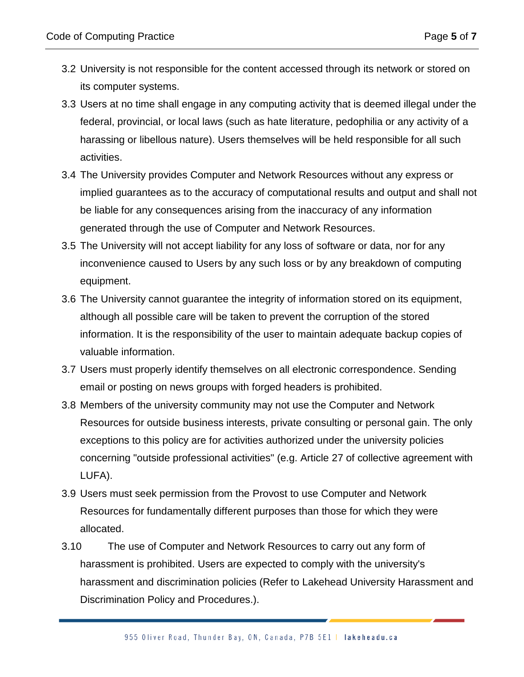- 3.2 University is not responsible for the content accessed through its network or stored on its computer systems.
- 3.3 Users at no time shall engage in any computing activity that is deemed illegal under the federal, provincial, or local laws (such as hate literature, pedophilia or any activity of a harassing or libellous nature). Users themselves will be held responsible for all such activities.
- 3.4 The University provides Computer and Network Resources without any express or implied guarantees as to the accuracy of computational results and output and shall not be liable for any consequences arising from the inaccuracy of any information generated through the use of Computer and Network Resources.
- 3.5 The University will not accept liability for any loss of software or data, nor for any inconvenience caused to Users by any such loss or by any breakdown of computing equipment.
- 3.6 The University cannot guarantee the integrity of information stored on its equipment, although all possible care will be taken to prevent the corruption of the stored information. It is the responsibility of the user to maintain adequate backup copies of valuable information.
- 3.7 Users must properly identify themselves on all electronic correspondence. Sending email or posting on news groups with forged headers is prohibited.
- 3.8 Members of the university community may not use the Computer and Network Resources for outside business interests, private consulting or personal gain. The only exceptions to this policy are for activities authorized under the university policies concerning "outside professional activities" (e.g. Article 27 of collective agreement with LUFA).
- 3.9 Users must seek permission from the Provost to use Computer and Network Resources for fundamentally different purposes than those for which they were allocated.
- 3.10 The use of Computer and Network Resources to carry out any form of harassment is prohibited. Users are expected to comply with the university's harassment and discrimination policies (Refer to Lakehead University Harassment and Discrimination Policy and Procedures.).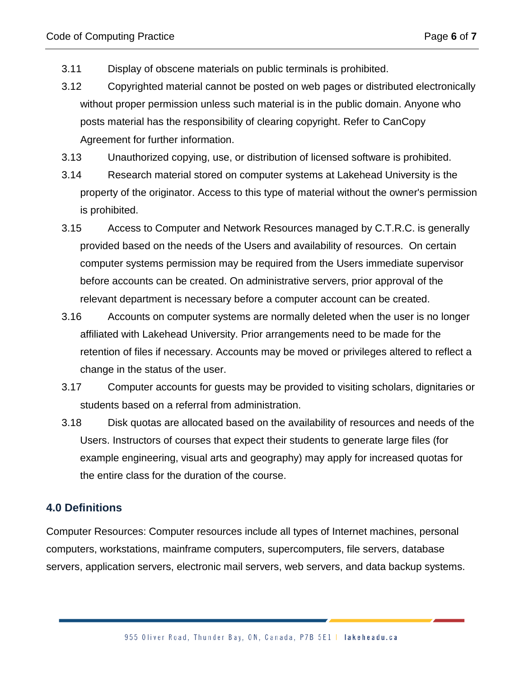- 3.11 Display of obscene materials on public terminals is prohibited.
- 3.12 Copyrighted material cannot be posted on web pages or distributed electronically without proper permission unless such material is in the public domain. Anyone who posts material has the responsibility of clearing copyright. Refer to CanCopy Agreement for further information.
- 3.13 Unauthorized copying, use, or distribution of licensed software is prohibited.
- 3.14 Research material stored on computer systems at Lakehead University is the property of the originator. Access to this type of material without the owner's permission is prohibited.
- 3.15 Access to Computer and Network Resources managed by C.T.R.C. is generally provided based on the needs of the Users and availability of resources. On certain computer systems permission may be required from the Users immediate supervisor before accounts can be created. On administrative servers, prior approval of the relevant department is necessary before a computer account can be created.
- 3.16 Accounts on computer systems are normally deleted when the user is no longer affiliated with Lakehead University. Prior arrangements need to be made for the retention of files if necessary. Accounts may be moved or privileges altered to reflect a change in the status of the user.
- 3.17 Computer accounts for guests may be provided to visiting scholars, dignitaries or students based on a referral from administration.
- 3.18 Disk quotas are allocated based on the availability of resources and needs of the Users. Instructors of courses that expect their students to generate large files (for example engineering, visual arts and geography) may apply for increased quotas for the entire class for the duration of the course.

### **4.0 Definitions**

Computer Resources: Computer resources include all types of Internet machines, personal computers, workstations, mainframe computers, supercomputers, file servers, database servers, application servers, electronic mail servers, web servers, and data backup systems.